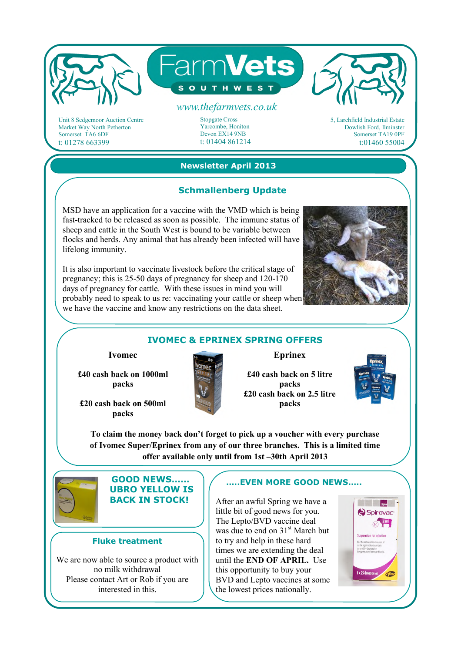

Unit 8 Sedgemoor Auction Centre Market Way North Petherton Somerset TA6 6DF t: 01278 663399

Stopgate Cross Yarcombe, Honiton Devon EX14 9NB t: 01404 861214 5, Larchfield Industrial Estate Dowlish Ford, Ilminster Somerset TA19 0PF t:01460 55004

## **Newsletter April 2013**

### **Schmallenberg Update**

MSD have an application for a vaccine with the VMD which is being fast-tracked to be released as soon as possible. The immune status of sheep and cattle in the South West is bound to be variable between flocks and herds. Any animal that has already been infected will have lifelong immunity.

It is also important to vaccinate livestock before the critical stage of pregnancy; this is 25-50 days of pregnancy for sheep and 120-170 days of pregnancy for cattle. With these issues in mind you will probably need to speak to us re: vaccinating your cattle or sheep when we have the vaccine and know any restrictions on the data sheet.



### **IVOMEC & EPRINEX SPRING OFFERS**

**Ivomec** 

**£40 cash back on 1000ml packs** 

**£20 cash back on 500ml packs** 



**Eprinex** 

**£40 cash back on 5 litre packs £20 cash back on 2.5 litre packs** 



**Expedition Contract Service Service** Spirovac<sup>®</sup>  $\frac{2ml}{\sqrt{2}}$ sion for injection

*Ofize* 

**To claim the money back don't forget to pick up a voucher with every purchase of Ivomec Super/Eprinex from any of our three branches. This is a limited time offer available only until from 1st –30th April 2013** 



 **GOOD NEWS…… UBRO YELLOW IS BACK IN STOCK!** 

#### **Fluke treatment**

We are now able to source a product with no milk withdrawal Please contact Art or Rob if you are interested in this.

### **…..EVEN MORE GOOD NEWS…..**

After an awful Spring we have a little bit of good news for you. The Lepto/BVD vaccine deal was due to end on 31<sup>st</sup> March but to try and help in these hard times we are extending the deal until the **END OF APRIL.** Use this opportunity to buy your BVD and Lepto vaccines at some the lowest prices nationally.